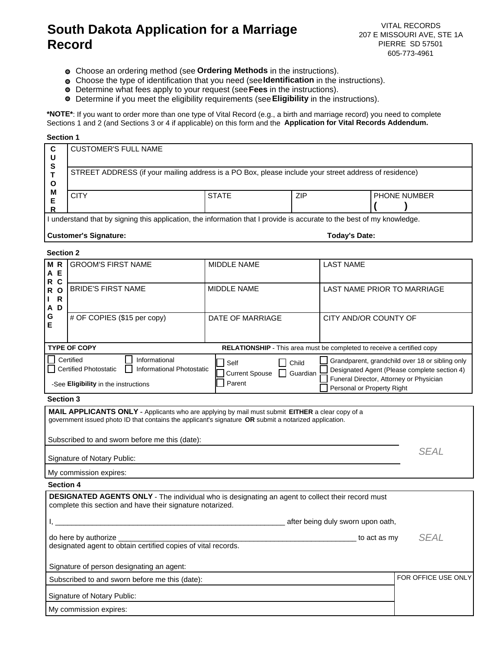# **South Dakota Application for a Marriage Record**

VITAL RECORDS 207 E MISSOURI AVE, STE 1A PIERRE SD 57501 605-773-4961

- Choose an ordering method (see **Ordering Methods** in the instructions).
- Choose the type of identification that you need (see**Identification** in the instructions).
- Determine what fees apply to your request (see**Fees** in the instructions).
- Determine if you meet the eligibility requirements (see**Eligibility** in the instructions).

**\*NOTE\***: If you want to order more than one type of Vital Record (e.g., a birth and marriage record) you need to complete Sections 1 and 2 (and Sections 3 or 4 if applicable) on this form and the **Application for Vital Records Addendum.**

#### **Section 1**

| C<br>U                                                                                                                 | <b>CUSTOMER'S FULL NAME</b>                                                                           |              |               |                |  |  |
|------------------------------------------------------------------------------------------------------------------------|-------------------------------------------------------------------------------------------------------|--------------|---------------|----------------|--|--|
| S<br>O<br>M                                                                                                            | STREET ADDRESS (if your mailing address is a PO Box, please include your street address of residence) |              |               |                |  |  |
|                                                                                                                        | <b>CITY</b>                                                                                           | <b>STATE</b> | <b>ZIP</b>    | I PHONE NUMBER |  |  |
| I understand that by signing this application, the information that I provide is accurate to the best of my knowledge. |                                                                                                       |              |               |                |  |  |
| <b>Customer's Signature:</b>                                                                                           |                                                                                                       |              | Todav's Date: |                |  |  |

## **Section 2**

| MR<br>A<br>Е<br>R C                                                                                                                                                                                                                                        | <b>GROOM'S FIRST NAME</b>                                             | MIDDLE NAME      | <b>LAST NAME</b>                                                                                                                                                         |  |  |  |
|------------------------------------------------------------------------------------------------------------------------------------------------------------------------------------------------------------------------------------------------------------|-----------------------------------------------------------------------|------------------|--------------------------------------------------------------------------------------------------------------------------------------------------------------------------|--|--|--|
| R <sub>O</sub><br>R<br>L<br>D<br>A                                                                                                                                                                                                                         | <b>BRIDE'S FIRST NAME</b>                                             | MIDDLE NAME      | LAST NAME PRIOR TO MARRIAGE                                                                                                                                              |  |  |  |
| G<br>Е                                                                                                                                                                                                                                                     | # OF COPIES (\$15 per copy)                                           | DATE OF MARRIAGE | CITY AND/OR COUNTY OF                                                                                                                                                    |  |  |  |
|                                                                                                                                                                                                                                                            | <b>TYPE OF COPY</b>                                                   |                  | RELATIONSHIP - This area must be completed to receive a certified copy                                                                                                   |  |  |  |
| Certified<br>Informational<br>$\Box$ Child<br>Self<br><b>Certified Photostatic</b><br>Informational Photostatic<br>Current Spouse   Guardian<br>Parent<br>-See Eligibility in the instructions                                                             |                                                                       |                  | Grandparent, grandchild over 18 or sibling only<br>Designated Agent (Please complete section 4)<br>Funeral Director, Attorney or Physician<br>Personal or Property Right |  |  |  |
| <b>Section 3</b>                                                                                                                                                                                                                                           |                                                                       |                  |                                                                                                                                                                          |  |  |  |
| MAIL APPLICANTS ONLY - Applicants who are applying by mail must submit EITHER a clear copy of a<br>government issued photo ID that contains the applicant's signature OR submit a notarized application.<br>Subscribed to and sworn before me this (date): |                                                                       |                  |                                                                                                                                                                          |  |  |  |
| Signature of Notary Public:                                                                                                                                                                                                                                | <b>SEAL</b>                                                           |                  |                                                                                                                                                                          |  |  |  |
|                                                                                                                                                                                                                                                            | My commission expires:                                                |                  |                                                                                                                                                                          |  |  |  |
| <b>Section 4</b>                                                                                                                                                                                                                                           |                                                                       |                  |                                                                                                                                                                          |  |  |  |
| DESIGNATED AGENTS ONLY - The individual who is designating an agent to collect their record must<br>complete this section and have their signature notarized.                                                                                              |                                                                       |                  |                                                                                                                                                                          |  |  |  |
|                                                                                                                                                                                                                                                            |                                                                       |                  | after being duly sworn upon oath,                                                                                                                                        |  |  |  |
| <b>SEAL</b><br>do here by authorize _<br>to act as my<br>designated agent to obtain certified copies of vital records.                                                                                                                                     |                                                                       |                  |                                                                                                                                                                          |  |  |  |
| Signature of person designating an agent:                                                                                                                                                                                                                  |                                                                       |                  |                                                                                                                                                                          |  |  |  |
|                                                                                                                                                                                                                                                            | FOR OFFICE USE ONLY<br>Subscribed to and sworn before me this (date): |                  |                                                                                                                                                                          |  |  |  |
|                                                                                                                                                                                                                                                            | Signature of Notary Public:                                           |                  |                                                                                                                                                                          |  |  |  |
|                                                                                                                                                                                                                                                            | My commission expires:                                                |                  |                                                                                                                                                                          |  |  |  |